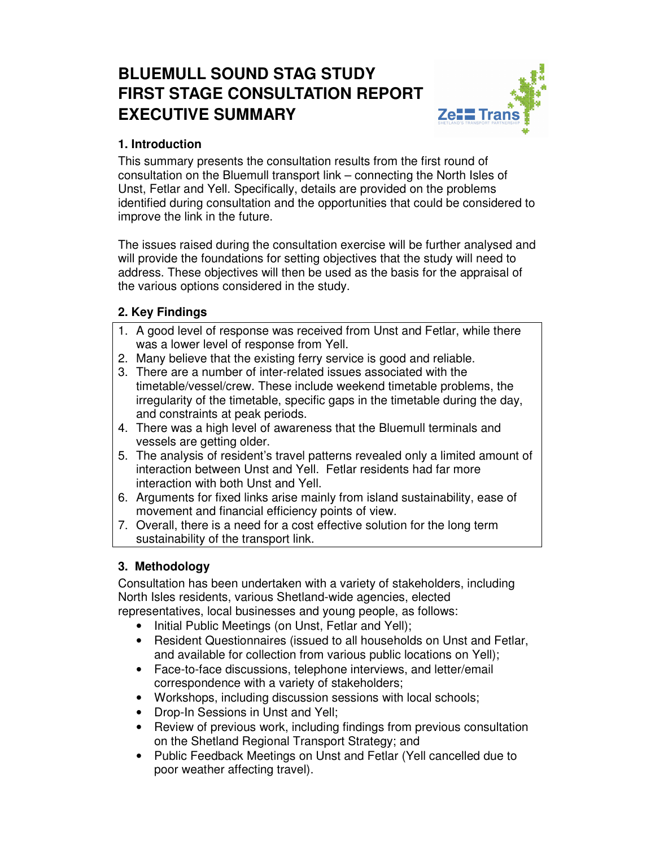# **BLUEMULL SOUND STAG STUDY FIRST STAGE CONSULTATION REPORT EXECUTIVE SUMMARY**



# **1. Introduction**

This summary presents the consultation results from the first round of consultation on the Bluemull transport link – connecting the North Isles of Unst, Fetlar and Yell. Specifically, details are provided on the problems identified during consultation and the opportunities that could be considered to improve the link in the future.

The issues raised during the consultation exercise will be further analysed and will provide the foundations for setting objectives that the study will need to address. These objectives will then be used as the basis for the appraisal of the various options considered in the study.

# **2. Key Findings**

- 1. A good level of response was received from Unst and Fetlar, while there was a lower level of response from Yell.
- 2. Many believe that the existing ferry service is good and reliable.
- 3. There are a number of inter-related issues associated with the timetable/vessel/crew. These include weekend timetable problems, the irregularity of the timetable, specific gaps in the timetable during the day, and constraints at peak periods.
- 4. There was a high level of awareness that the Bluemull terminals and vessels are getting older.
- 5. The analysis of resident's travel patterns revealed only a limited amount of interaction between Unst and Yell. Fetlar residents had far more interaction with both Unst and Yell.
- 6. Arguments for fixed links arise mainly from island sustainability, ease of movement and financial efficiency points of view.
- 7. Overall, there is a need for a cost effective solution for the long term sustainability of the transport link.

# **3. Methodology**

Consultation has been undertaken with a variety of stakeholders, including North Isles residents, various Shetland-wide agencies, elected representatives, local businesses and young people, as follows:

- Initial Public Meetings (on Unst, Fetlar and Yell);
- Resident Questionnaires (issued to all households on Unst and Fetlar, and available for collection from various public locations on Yell);
- Face-to-face discussions, telephone interviews, and letter/email correspondence with a variety of stakeholders;
- Workshops, including discussion sessions with local schools;
- Drop-In Sessions in Unst and Yell;
- Review of previous work, including findings from previous consultation on the Shetland Regional Transport Strategy; and
- Public Feedback Meetings on Unst and Fetlar (Yell cancelled due to poor weather affecting travel).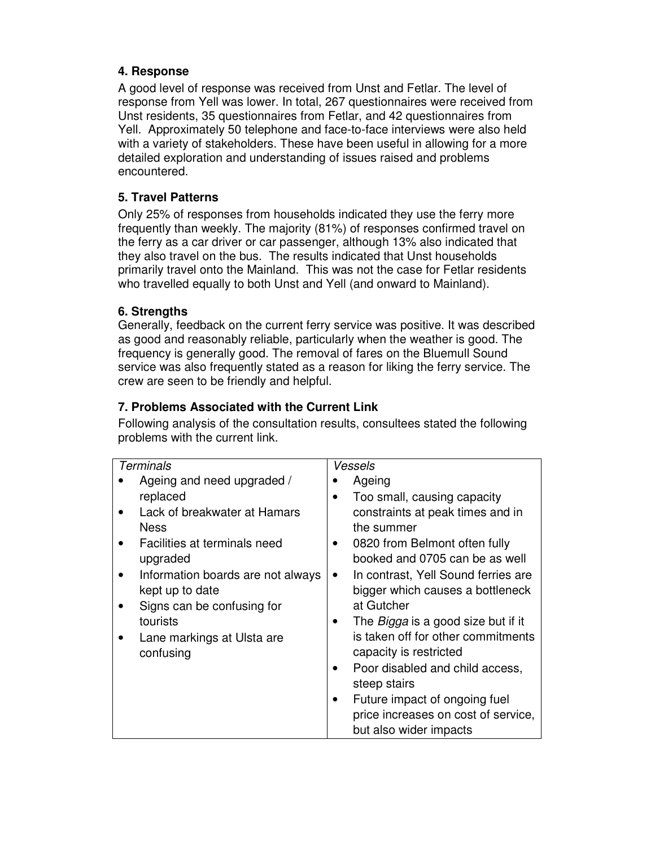### **4. Response**

A good level of response was received from Unst and Fetlar. The level of response from Yell was lower. In total, 267 questionnaires were received from Unst residents, 35 questionnaires from Fetlar, and 42 questionnaires from Yell. Approximately 50 telephone and face-to-face interviews were also held with a variety of stakeholders. These have been useful in allowing for a more detailed exploration and understanding of issues raised and problems encountered.

## **5. Travel Patterns**

Only 25% of responses from households indicated they use the ferry more frequently than weekly. The majority (81%) of responses confirmed travel on the ferry as a car driver or car passenger, although 13% also indicated that they also travel on the bus. The results indicated that Unst households primarily travel onto the Mainland. This was not the case for Fetlar residents who travelled equally to both Unst and Yell (and onward to Mainland).

#### **6. Strengths**

Generally, feedback on the current ferry service was positive. It was described as good and reasonably reliable, particularly when the weather is good. The frequency is generally good. The removal of fares on the Bluemull Sound service was also frequently stated as a reason for liking the ferry service. The crew are seen to be friendly and helpful.

## **7. Problems Associated with the Current Link**

Following analysis of the consultation results, consultees stated the following problems with the current link.

| <b>Terminals</b> |                                   | Vessels |                                           |
|------------------|-----------------------------------|---------|-------------------------------------------|
|                  | Ageing and need upgraded /        |         | Ageing                                    |
| replaced         |                                   |         | Too small, causing capacity               |
|                  | Lack of breakwater at Hamars      |         | constraints at peak times and in          |
| <b>Ness</b>      |                                   |         | the summer                                |
|                  | Facilities at terminals need      |         | 0820 from Belmont often fully             |
| upgraded         |                                   |         | booked and 0705 can be as well            |
|                  | Information boards are not always |         | In contrast, Yell Sound ferries are       |
| kept up to date  |                                   |         | bigger which causes a bottleneck          |
|                  | Signs can be confusing for        |         | at Gutcher                                |
| tourists         |                                   |         | The <i>Bigga</i> is a good size but if it |
|                  | Lane markings at Ulsta are        |         | is taken off for other commitments        |
| confusing        |                                   |         | capacity is restricted                    |
|                  |                                   |         | Poor disabled and child access,           |
|                  |                                   |         | steep stairs                              |
|                  |                                   |         | Future impact of ongoing fuel             |
|                  |                                   |         | price increases on cost of service,       |
|                  |                                   |         | but also wider impacts                    |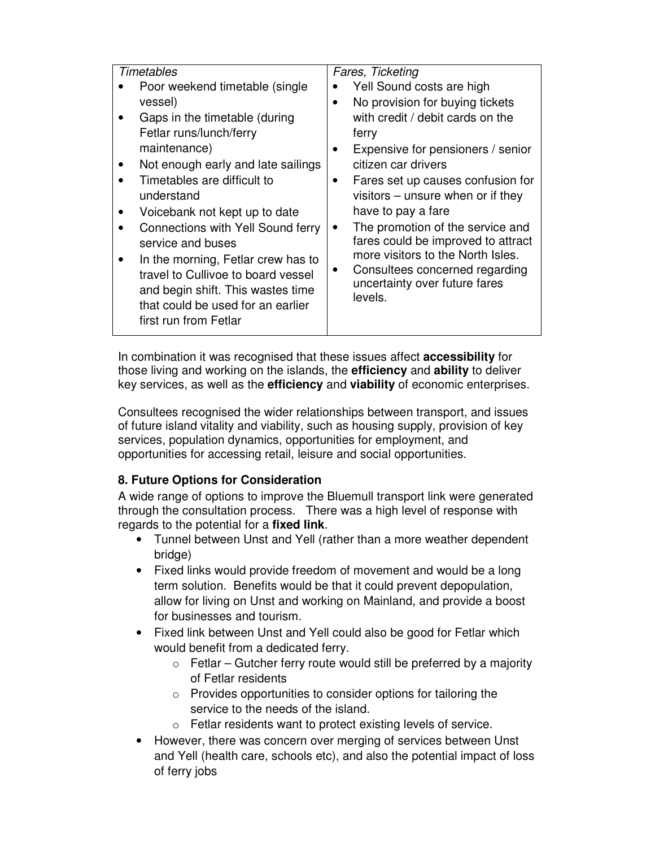| Timetables |                                          | Fares, Ticketing |                                     |  |
|------------|------------------------------------------|------------------|-------------------------------------|--|
|            | Poor weekend timetable (single)          |                  | Yell Sound costs are high           |  |
|            | vessel)                                  |                  | No provision for buying tickets     |  |
|            | Gaps in the timetable (during            |                  | with credit / debit cards on the    |  |
|            | Fetlar runs/lunch/ferry                  |                  | ferry                               |  |
|            | maintenance)                             |                  | Expensive for pensioners / senior   |  |
|            | Not enough early and late sailings       |                  | citizen car drivers                 |  |
|            | Timetables are difficult to              | $\bullet$        | Fares set up causes confusion for   |  |
|            | understand                               |                  | visitors $-$ unsure when or if they |  |
|            | Voicebank not kept up to date            |                  | have to pay a fare                  |  |
|            | <b>Connections with Yell Sound ferry</b> |                  | The promotion of the service and    |  |
|            | service and buses                        |                  | fares could be improved to attract  |  |
|            | In the morning, Fetlar crew has to       |                  | more visitors to the North Isles.   |  |
|            | travel to Cullivoe to board vessel       |                  | Consultees concerned regarding      |  |
|            | and begin shift. This wastes time        |                  | uncertainty over future fares       |  |
|            | that could be used for an earlier        |                  | levels.                             |  |
|            | first run from Fetlar                    |                  |                                     |  |
|            |                                          |                  |                                     |  |

In combination it was recognised that these issues affect **accessibility** for those living and working on the islands, the **efficiency** and **ability** to deliver key services, as well as the **efficiency** and **viability** of economic enterprises.

Consultees recognised the wider relationships between transport, and issues of future island vitality and viability, such as housing supply, provision of key services, population dynamics, opportunities for employment, and opportunities for accessing retail, leisure and social opportunities.

# **8. Future Options for Consideration**

A wide range of options to improve the Bluemull transport link were generated through the consultation process. There was a high level of response with regards to the potential for a **fixed link**.

- Tunnel between Unst and Yell (rather than a more weather dependent bridge)
- Fixed links would provide freedom of movement and would be a long term solution. Benefits would be that it could prevent depopulation, allow for living on Unst and working on Mainland, and provide a boost for businesses and tourism.
- Fixed link between Unst and Yell could also be good for Fetlar which would benefit from a dedicated ferry.
	- $\circ$  Fetlar Gutcher ferry route would still be preferred by a majority of Fetlar residents
	- $\circ$  Provides opportunities to consider options for tailoring the service to the needs of the island.
	- o Fetlar residents want to protect existing levels of service.
- However, there was concern over merging of services between Unst and Yell (health care, schools etc), and also the potential impact of loss of ferry jobs